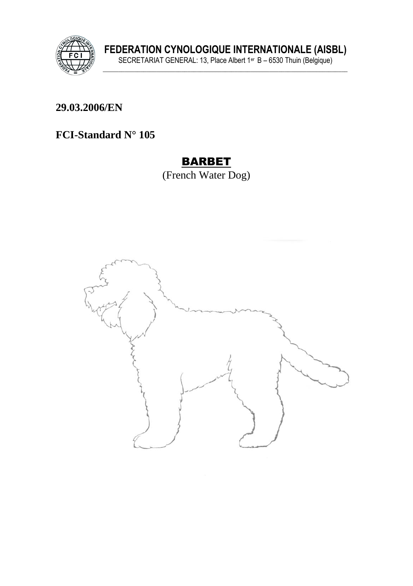

FEDERATION CYNOLOGIQUE INTERNATIONALE (AISBL)<br>SECRETARIAT GENERAL: 13, Place Albert 1<sup>er</sup> B – 6530 Thuin (Belgique)

29.03.2006/EN

# FCI-Standard  $N^{\circ}$  105

## **BARBET**

(French Water Dog)

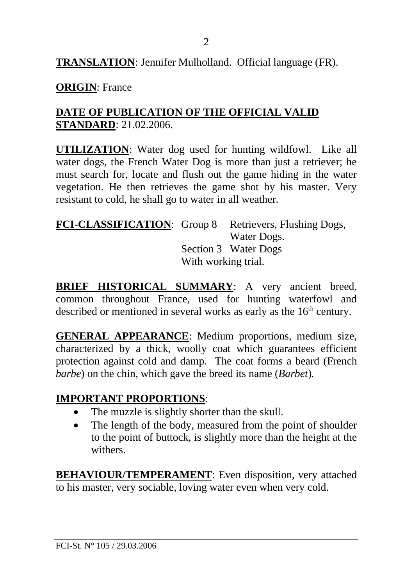**TRANSLATION**: Jennifer Mulholland. Official language (FR).

**ORIGIN**: France

## **DATE OF PUBLICATION OF THE OFFICIAL VALID STANDARD**: 21.02.2006.

**UTILIZATION**: Water dog used for hunting wildfowl. Like all water dogs, the French Water Dog is more than just a retriever; he must search for, locate and flush out the game hiding in the water vegetation. He then retrieves the game shot by his master. Very resistant to cold, he shall go to water in all weather.

#### **FCI-CLASSIFICATION**: Group 8 Retrievers, Flushing Dogs, Water Dogs. Section 3 Water Dogs With working trial.

**BRIEF HISTORICAL SUMMARY**: A very ancient breed, common throughout France, used for hunting waterfowl and described or mentioned in several works as early as the  $16<sup>th</sup>$  century.

**GENERAL APPEARANCE**: Medium proportions, medium size, characterized by a thick, woolly coat which guarantees efficient protection against cold and damp. The coat forms a beard (French *barbe*) on the chin, which gave the breed its name (*Barbet*)*.*

## **IMPORTANT PROPORTIONS**:

- The muzzle is slightly shorter than the skull.
- The length of the body, measured from the point of shoulder to the point of buttock, is slightly more than the height at the withers.

**BEHAVIOUR/TEMPERAMENT**: Even disposition, very attached to his master, very sociable, loving water even when very cold.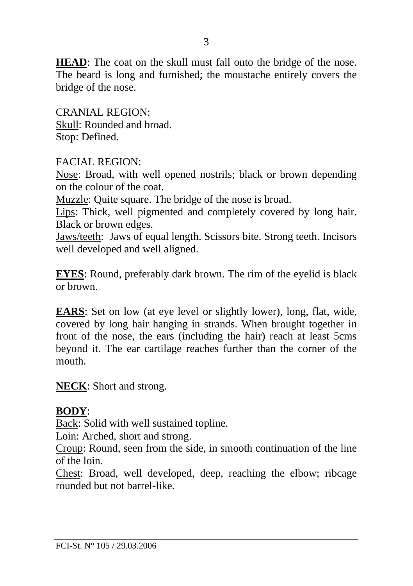**HEAD**: The coat on the skull must fall onto the bridge of the nose. The beard is long and furnished; the moustache entirely covers the bridge of the nose.

CRANIAL REGION: Skull: Rounded and broad. Stop: Defined.

#### FACIAL REGION:

Nose: Broad, with well opened nostrils; black or brown depending on the colour of the coat.

Muzzle: Quite square. The bridge of the nose is broad.

Lips: Thick, well pigmented and completely covered by long hair. Black or brown edges.

Jaws/teeth: Jaws of equal length. Scissors bite. Strong teeth. Incisors well developed and well aligned.

**EYES**: Round, preferably dark brown. The rim of the eyelid is black or brown.

**EARS**: Set on low (at eye level or slightly lower), long, flat, wide, covered by long hair hanging in strands. When brought together in front of the nose, the ears (including the hair) reach at least 5cms beyond it. The ear cartilage reaches further than the corner of the mouth.

**NECK**: Short and strong.

#### **BODY**:

Back: Solid with well sustained topline.

Loin: Arched, short and strong.

Croup: Round, seen from the side, in smooth continuation of the line of the loin.

Chest: Broad, well developed, deep, reaching the elbow; ribcage rounded but not barrel-like.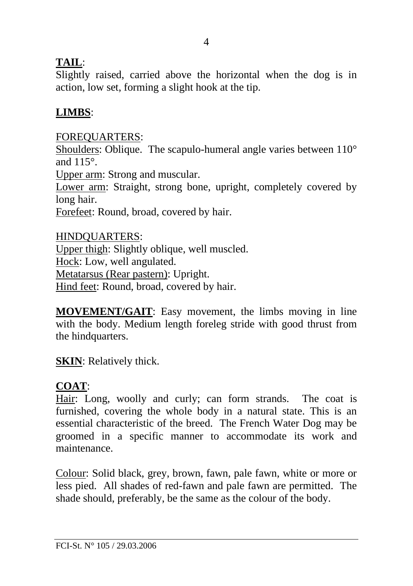## **TAIL**:

Slightly raised, carried above the horizontal when the dog is in action, low set, forming a slight hook at the tip.

# **LIMBS**:

## FOREQUARTERS:

Shoulders: Oblique. The scapulo-humeral angle varies between  $110^{\circ}$ and 115°.

Upper arm: Strong and muscular.

Lower arm: Straight, strong bone, upright, completely covered by long hair.

Forefeet: Round, broad, covered by hair.

HINDQUARTERS: Upper thigh: Slightly oblique, well muscled. Hock: Low, well angulated. Metatarsus (Rear pastern): Upright. Hind feet: Round, broad, covered by hair.

**MOVEMENT/GAIT**: Easy movement, the limbs moving in line with the body. Medium length foreleg stride with good thrust from the hindquarters.

**SKIN**: Relatively thick.

# **COAT**:

Hair: Long, woolly and curly; can form strands. The coat is furnished, covering the whole body in a natural state. This is an essential characteristic of the breed. The French Water Dog may be groomed in a specific manner to accommodate its work and maintenance.

Colour: Solid black, grey, brown, fawn, pale fawn, white or more or less pied. All shades of red-fawn and pale fawn are permitted. The shade should, preferably, be the same as the colour of the body.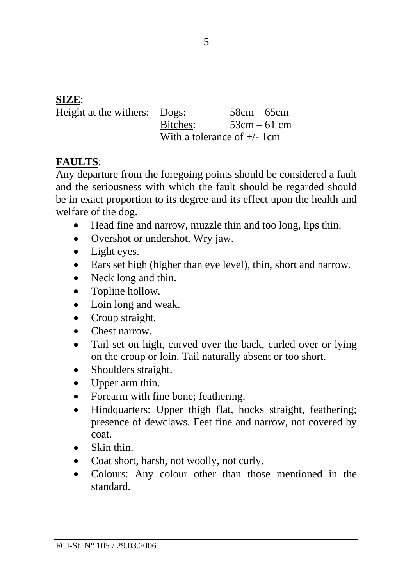### **SIZE**:

| Height at the withers: | $Dogs$ :                       | $58cm - 65cm$ |
|------------------------|--------------------------------|---------------|
|                        | Bitches:                       | $53cm - 61cm$ |
|                        | With a tolerance of $+/- 1$ cm |               |

### **FAULTS**:

Any departure from the foregoing points should be considered a fault and the seriousness with which the fault should be regarded should be in exact proportion to its degree and its effect upon the health and welfare of the dog.

- Head fine and narrow, muzzle thin and too long, lips thin.
- Overshot or undershot. Wry jaw.
- Light eyes.
- Ears set high (higher than eye level), thin, short and narrow.
- Neck long and thin.
- Topline hollow.
- Loin long and weak.
- Croup straight.
- Chest narrow.
- Tail set on high, curved over the back, curled over or lying on the croup or loin. Tail naturally absent or too short.
- Shoulders straight.
- Upper arm thin.
- Forearm with fine bone; feathering.
- Hindquarters: Upper thigh flat, hocks straight, feathering; presence of dewclaws. Feet fine and narrow, not covered by coat.
- Skin thin.
- Coat short, harsh, not woolly, not curly.
- Colours: Any colour other than those mentioned in the standard.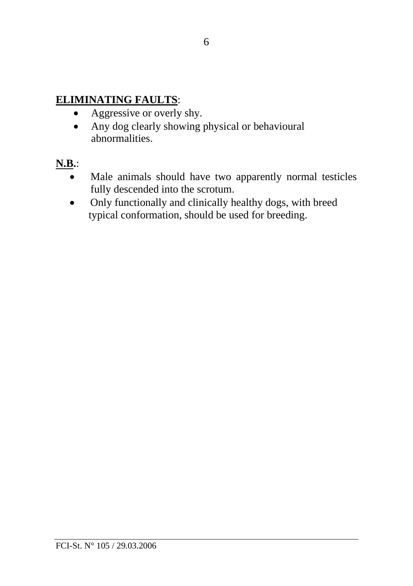### **ELIMINATING FAULTS**:

- Aggressive or overly shy.
- Any dog clearly showing physical or behavioural abnormalities.
- **N.B.**:
	- Male animals should have two apparently normal testicles fully descended into the scrotum.
	- Only functionally and clinically healthy dogs, with breed typical conformation, should be used for breeding.